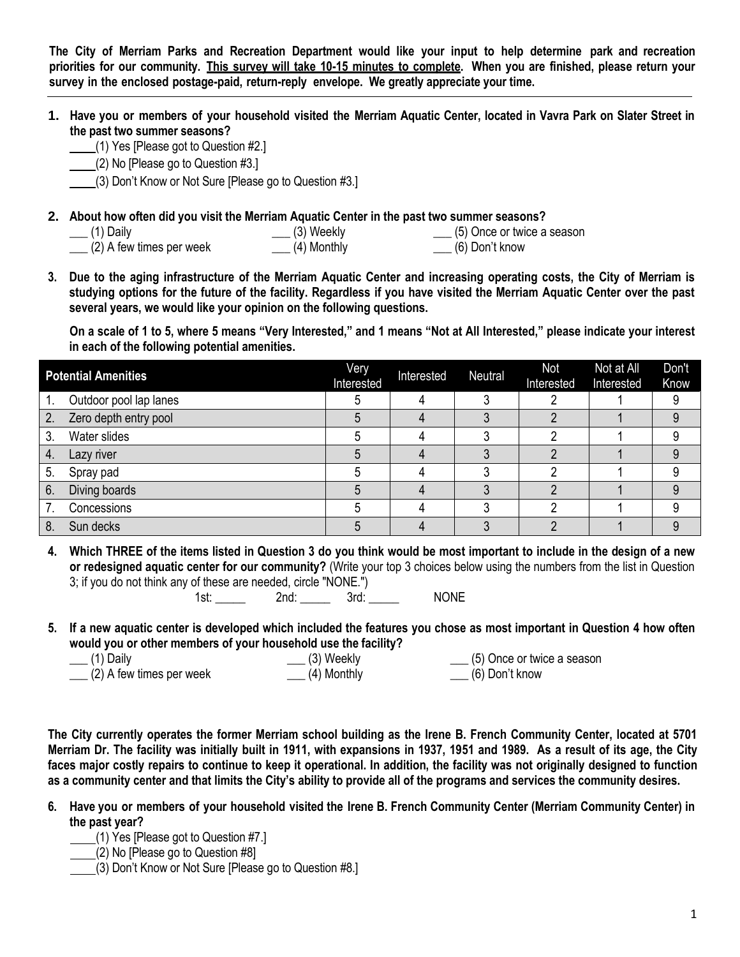The City of Merriam Parks and Recreation Department would like your input to help determine park and recreation priorities for our community. This survey will take 10-15 minutes to complete. When you are finished, please return your **survey in the enclosed postage-paid, return-reply envelope. We greatly appreciate your time.**

- **1. Have you or members of your household visited the Merriam Aquatic Center, located in Vavra Park on Slater Street in the past two summer seasons?**
	- (1) Yes [Please got to Question #2.]
		- (2) No [Please go to Question #3.]
	- (3) Don't Know or Not Sure [Please go to Question #3.]
- **2. About how often did you visit the Merriam Aquatic Center in the past two summer seasons?**

| $\frac{1}{2}$ (1) Daily    | $\rule{1em}{0.15mm} \begin{picture}(2.5,20) \put(0,0){\dashbox{0.5}(5,0){ }} \thicklines \put(0,0){\dashbox{0.5}(5,0){ }} \thicklines \put(0,0){\dashbox{0.5}(5,0){ }} \thicklines \put(1,0){\dashbox{0.5}(5,0){ }} \thicklines \put(1,0){\dashbox{0.5}(5,0){ }} \thicklines \put(1,0){\dashbox{0.5}(5,0){ }} \thicklines \put(1,0){\dashbox{0.5}(5,0){ }} \thicklines \put(1,0){\dashbox{0.5}(5,0){ }} \thicklines \put(1$ | $\frac{1}{1}$ (5) Once or twice a season |
|----------------------------|-----------------------------------------------------------------------------------------------------------------------------------------------------------------------------------------------------------------------------------------------------------------------------------------------------------------------------------------------------------------------------------------------------------------------------|------------------------------------------|
|                            |                                                                                                                                                                                                                                                                                                                                                                                                                             |                                          |
| $(2)$ A few times per week | $\frac{1}{2}$ (4) Monthly                                                                                                                                                                                                                                                                                                                                                                                                   |                                          |

**3. Due to the aging infrastructure of the Merriam Aquatic Center and increasing operating costs, the City of Merriam is studying options for the future of the facility. Regardless if you have visited the Merriam Aquatic Center over the past several years, we would like your opinion on the following questions.**

**On a scale of 1 to 5, where 5 means "Very Interested," and 1 means "Not at All Interested," please indicate your interest in each of the following potential amenities.**

|    | <b>Potential Amenities</b> | Very<br>Interested | Interested | Neutral | Not<br>Interested | Not at All<br>Interested | Don't<br>Know |
|----|----------------------------|--------------------|------------|---------|-------------------|--------------------------|---------------|
|    | Outdoor pool lap lanes     |                    |            |         |                   |                          |               |
| 2. | Zero depth entry pool      |                    |            |         |                   |                          |               |
| 3. | Water slides               |                    |            |         |                   |                          |               |
| 4. | Lazy river                 |                    |            |         |                   |                          |               |
| 5. | Spray pad                  |                    |            |         |                   |                          |               |
| 6. | Diving boards              |                    |            |         |                   |                          |               |
|    | Concessions                |                    |            |         |                   |                          |               |
| 8. | Sun decks                  |                    |            |         |                   |                          |               |

**4. Which THREE of the items listed in Question 3 do you think would be most important to include in the design of a new or redesigned aquatic center for our community?** (Write your top 3 choices below using the numbers from the list in Question 3; if you do not think any of these are needed, circle "NONE.")

| 1st: |      |      | <b>NONE</b> |
|------|------|------|-------------|
|      | 2nd: |      |             |
|      |      | 3rd: |             |
|      |      |      |             |

**5. If a new aquatic center is developed which included the features you chose as most important in Question 4 how often would you or other members of your household use the facility?**

| ___ (1) Daily                     | $\frac{1}{2}$ (3) Weekly  | $\frac{1}{1}$ (5) Once or twice a season |
|-----------------------------------|---------------------------|------------------------------------------|
| $\sqrt{(2)}$ A few times per week | $\frac{1}{2}$ (4) Monthly | $\frac{1}{1}$ (6) Don't know             |

**The City currently operates the former Merriam school building as the Irene B. French Community Center, located at 5701 Merriam Dr. The facility was initially built in 1911, with expansions in 1937, 1951 and 1989. As a result of its age, the City faces major costly repairs to continue to keep it operational. In addition, the facility was not originally designed to function as a community center and that limits the City's ability to provide all of the programs and services the community desires.** 

- **6. Have you or members of your household visited the Irene B. French Community Center (Merriam Community Center) in the past year?**
	- (1) Yes [Please got to Question #7.]
	- (2) No [Please go to Question #8]
	- (3) Don't Know or Not Sure [Please go to Question #8.]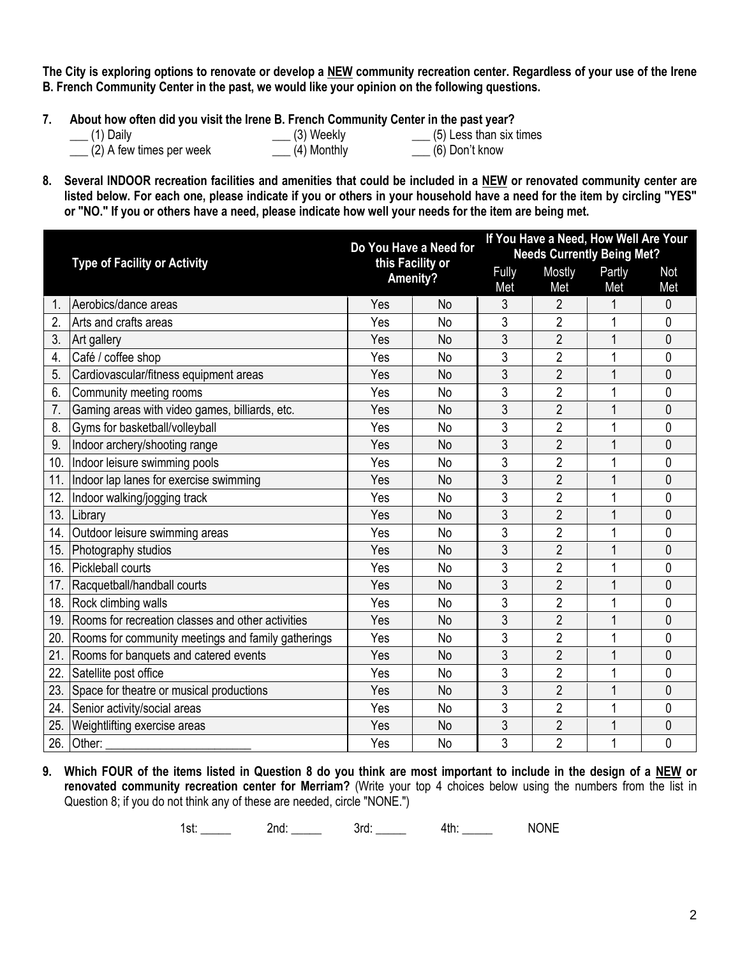**The City is exploring options to renovate or develop a NEW community recreation center. Regardless of your use of the Irene B. French Community Center in the past, we would like your opinion on the following questions.** 

- **7. About how often did you visit the Irene B. French Community Center in the past year?**
	-
- 

 $\frac{1}{2}$  (5) Less than six times

- $\Box$  (2) A few times per week  $\Box$  (4) Monthly  $\Box$  (6) Don't know
- 
- **8. Several INDOOR recreation facilities and amenities that could be included in a NEW or renovated community center are listed below. For each one, please indicate if you or others in your household have a need for the item by circling "YES" or "NO." If you or others have a need, please indicate how well your needs for the item are being met.**

|     | <b>Type of Facility or Activity</b>                |          | Do You Have a Need for<br>this Facility or |       | If You Have a Need, How Well Are Your |        |                |  |
|-----|----------------------------------------------------|----------|--------------------------------------------|-------|---------------------------------------|--------|----------------|--|
|     |                                                    |          |                                            |       | <b>Needs Currently Being Met?</b>     |        |                |  |
|     |                                                    | Amenity? |                                            | Fully | Mostly                                | Partly | <b>Not</b>     |  |
|     |                                                    |          |                                            | Met   | Met                                   | Met    | Met            |  |
| 1   | Aerobics/dance areas                               | Yes      | <b>No</b>                                  | 3     | $\overline{2}$                        |        | $\mathbf 0$    |  |
| 2.  | Arts and crafts areas                              | Yes      | <b>No</b>                                  | 3     | $\overline{2}$                        | 1      | $\mathbf 0$    |  |
| 3.  | Art gallery                                        | Yes      | No                                         | 3     | $\overline{2}$                        | 1      | $\mathbf{0}$   |  |
| 4.  | Café / coffee shop                                 | Yes      | <b>No</b>                                  | 3     | $\overline{2}$                        | 1      | $\mathbf 0$    |  |
| 5.  | Cardiovascular/fitness equipment areas             | Yes      | <b>No</b>                                  | 3     | $\overline{2}$                        | 1      | $\mathbf{0}$   |  |
| 6.  | Community meeting rooms                            | Yes      | <b>No</b>                                  | 3     | $\overline{2}$                        | 1      | 0              |  |
| 7.  | Gaming areas with video games, billiards, etc.     | Yes      | <b>No</b>                                  | 3     | $\overline{2}$                        | 1      | $\mathbf 0$    |  |
| 8.  | Gyms for basketball/volleyball                     | Yes      | No                                         | 3     | $\overline{2}$                        | 1      | $\mathbf{0}$   |  |
| 9.  | Indoor archery/shooting range                      | Yes      | <b>No</b>                                  | 3     | $\overline{2}$                        | 1      | $\mathbf 0$    |  |
| 10. | Indoor leisure swimming pools                      | Yes      | <b>No</b>                                  | 3     | $\overline{2}$                        |        | 0              |  |
| 11. | Indoor lap lanes for exercise swimming             | Yes      | <b>No</b>                                  | 3     | $\overline{2}$                        | 1      | $\overline{0}$ |  |
| 12. | Indoor walking/jogging track                       | Yes      | No                                         | 3     | $\overline{2}$                        | 1      | $\mathbf 0$    |  |
| 13. | Library                                            | Yes      | <b>No</b>                                  | 3     | $\overline{2}$                        | 1      | $\overline{0}$ |  |
| 14. | Outdoor leisure swimming areas                     | Yes      | No                                         | 3     | $\overline{2}$                        | 1      | 0              |  |
| 15. | Photography studios                                | Yes      | <b>No</b>                                  | 3     | $\overline{2}$                        | 1      | $\mathbf{0}$   |  |
| 16. | Pickleball courts                                  | Yes      | <b>No</b>                                  | 3     | $\overline{2}$                        |        | 0              |  |
| 17. | Racquetball/handball courts                        | Yes      | <b>No</b>                                  | 3     | $\overline{2}$                        | 1      | $\mathbf{0}$   |  |
| 18. | Rock climbing walls                                | Yes      | No                                         | 3     | $\overline{2}$                        |        | 0              |  |
| 19. | Rooms for recreation classes and other activities  | Yes      | <b>No</b>                                  | 3     | $\overline{2}$                        | 1      | $\overline{0}$ |  |
| 20. | Rooms for community meetings and family gatherings | Yes      | No                                         | 3     | $\overline{2}$                        |        | 0              |  |
| 21. | Rooms for banquets and catered events              | Yes      | <b>No</b>                                  | 3     | $\overline{2}$                        | 1      | $\overline{0}$ |  |
| 22. | Satellite post office                              | Yes      | <b>No</b>                                  | 3     | $\overline{2}$                        |        | $\mathbf{0}$   |  |
| 23. | Space for theatre or musical productions           | Yes      | No                                         | 3     | $\overline{2}$                        |        | 0              |  |
| 24. | Senior activity/social areas                       | Yes      | <b>No</b>                                  | 3     | $\overline{2}$                        | 1      | $\mathbf 0$    |  |
| 25. | Weightlifting exercise areas                       | Yes      | <b>No</b>                                  | 3     | $\overline{2}$                        | 1      | 0              |  |
| 26. | Other:                                             | Yes      | No                                         | 3     | $\overline{2}$                        | 1      | $\mathbf 0$    |  |

**9. Which FOUR of the items listed in Question 8 do you think are most important to include in the design of a NEW or renovated community recreation center for Merriam?** (Write your top 4 choices below using the numbers from the list in Question 8; if you do not think any of these are needed, circle "NONE.")

1st: 2nd: 2nd: 3rd: 4th: NONE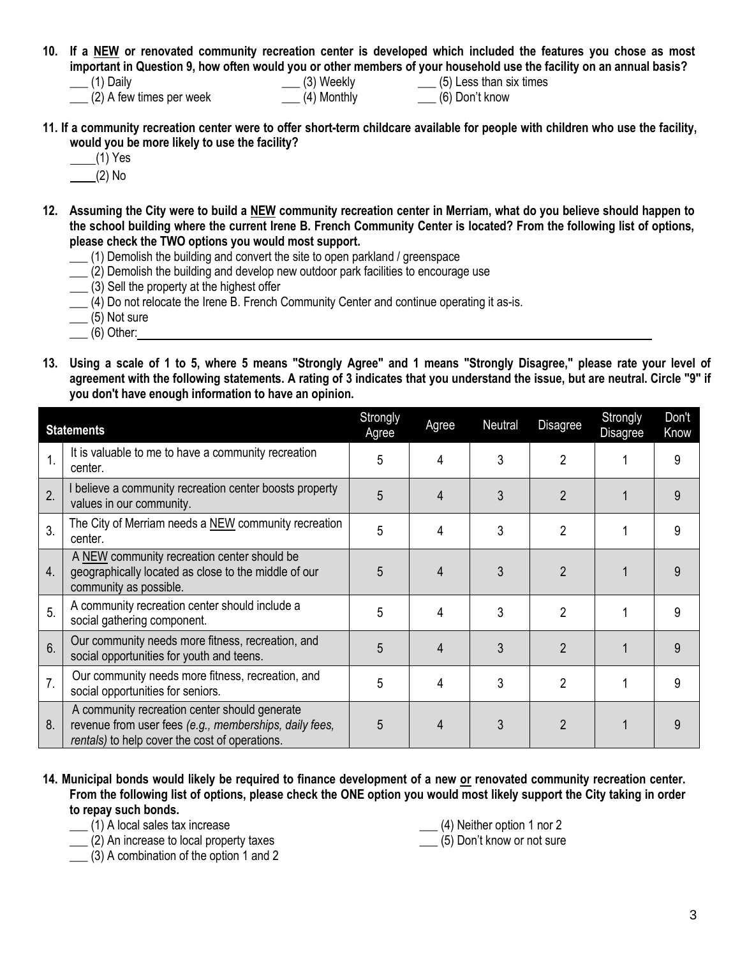- **10. If a NEW or renovated community recreation center is developed which included the features you chose as most important in Question 9, how often would you or other members of your household use the facility on an annual basis?**
	- $\overline{a}$  (2) A few times per week  $\overline{a}$  (4) Monthly  $\overline{a}$  (6) Don't know
- $\frac{1}{1}$  (5) Less than six times
- **11. If a community recreation center were to offer short-term childcare available for people with children who use the facility, would you be more likely to use the facility?**
	- $(1)$  Yes
	- (2) No
- **12. Assuming the City were to build a NEW community recreation center in Merriam, what do you believe should happen to the school building where the current Irene B. French Community Center is located? From the following list of options, please check the TWO options you would most support.**
	- \_\_\_ (1) Demolish the building and convert the site to open parkland / greenspace
	- \_\_\_ (2) Demolish the building and develop new outdoor park facilities to encourage use
	- \_\_\_ (3) Sell the property at the highest offer
	- $\underline{\hspace{1cm}}$  (4) Do not relocate the Irene B. French Community Center and continue operating it as-is.
	- $\frac{1}{1}$  (5) Not sure
	- $\qquad$  (6) Other:
- **13. Using a scale of 1 to 5, where 5 means "Strongly Agree" and 1 means "Strongly Disagree," please rate your level of agreement with the following statements. A rating of 3 indicates that you understand the issue, but are neutral. Circle "9" if you don't have enough information to have an opinion.**

|                  | <b>Statements</b>                                                                                                                                         | Strongly<br>Agree | Agree | Neutral | <b>Disagree</b> | Strongly<br><b>Disagree</b> | Don't<br>Know |
|------------------|-----------------------------------------------------------------------------------------------------------------------------------------------------------|-------------------|-------|---------|-----------------|-----------------------------|---------------|
| 1.               | It is valuable to me to have a community recreation<br>center.                                                                                            | 5                 | 4     | 3       | $\overline{2}$  |                             | 9             |
| 2.               | I believe a community recreation center boosts property<br>values in our community.                                                                       | 5                 | 4     | 3       | 2               |                             | 9             |
| 3.               | The City of Merriam needs a NEW community recreation<br>center.                                                                                           | 5                 | 4     | 3       | 2               |                             | 9             |
| 4.               | A NEW community recreation center should be<br>geographically located as close to the middle of our<br>community as possible.                             | 5                 | 4     | 3       | 2               |                             | 9             |
| 5.               | A community recreation center should include a<br>social gathering component.                                                                             | 5                 | 4     | 3       | 2               |                             | 9             |
| 6.               | Our community needs more fitness, recreation, and<br>social opportunities for youth and teens.                                                            | 5                 | 4     | 3       | $\overline{2}$  |                             | 9             |
| $\overline{7}$ . | Our community needs more fitness, recreation, and<br>social opportunities for seniors.                                                                    | 5                 | 4     | 3       | 2               |                             | 9             |
| 8.               | A community recreation center should generate<br>revenue from user fees (e.g., memberships, daily fees,<br>rentals) to help cover the cost of operations. | 5                 | 4     | 3       | 2               |                             | 9             |

- **14. Municipal bonds would likely be required to finance development of a new or renovated community recreation center. From the following list of options, please check the ONE option you would most likely support the City taking in order to repay such bonds.** 
	- \_\_\_ (1) A local sales tax increase

(4) Neither option 1 nor 2

\_\_\_ (2) An increase to local property taxes

 $(3)$  A combination of the option 1 and 2

- 
- \_\_\_ (5) Don't know or not sure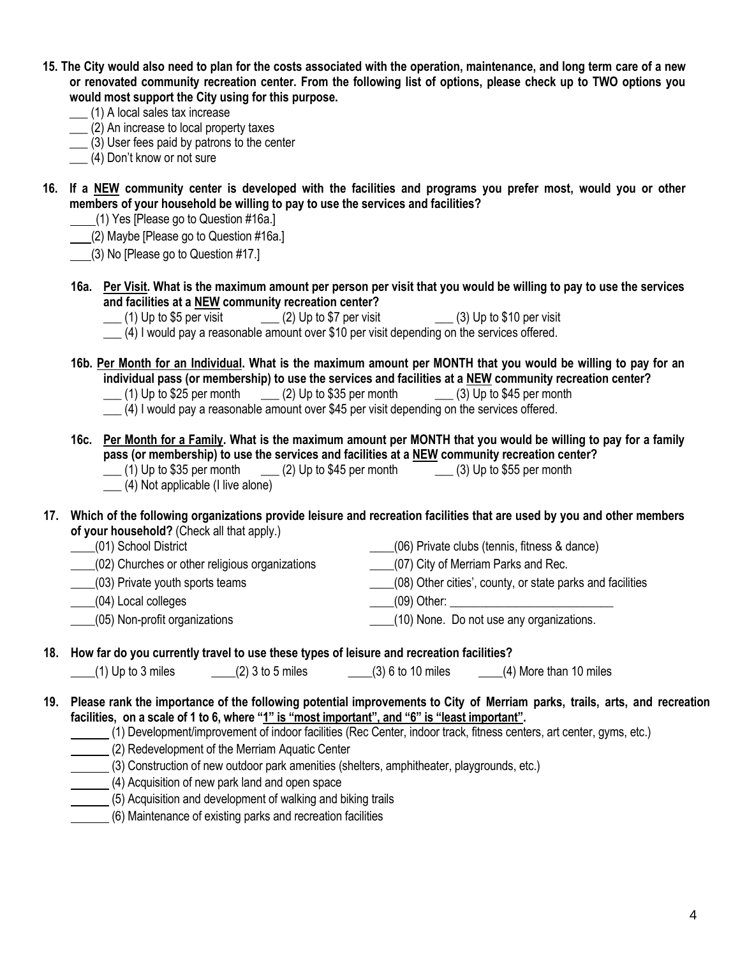- **15. The City would also need to plan for the costs associated with the operation, maintenance, and long term care of a new or renovated community recreation center. From the following list of options, please check up to TWO options you would most support the City using for this purpose.** 
	- \_\_\_ (1) A local sales tax increase
	- \_\_\_ (2) An increase to local property taxes
	- \_\_\_ (3) User fees paid by patrons to the center
	- \_\_\_ (4) Don't know or not sure
- **16. If a NEW community center is developed with the facilities and programs you prefer most, would you or other members of your household be willing to pay to use the services and facilities?**
	- (1) Yes [Please go to Question #16a.]
	- (2) Maybe [Please go to Question #16a.]
	- (3) No [Please go to Question #17.]
	- **16a. Per Visit. What is the maximum amount per person per visit that you would be willing to pay to use the services and facilities at a NEW community recreation center?**
		- $\Box$  (1) Up to \$5 per visit  $\Box$  (2) Up to \$7 per visit  $\Box$  (3) Up to \$10 per visit
		- \_\_\_ (4) I would pay a reasonable amount over \$10 per visit depending on the services offered.
	- **16b. Per Month for an Individual. What is the maximum amount per MONTH that you would be willing to pay for an individual pass (or membership) to use the services and facilities at a NEW community recreation center?**  $\Box$  (1) Up to \$25 per month  $\Box$  (2) Up to \$35 per month  $\Box$  (3) Up to \$45 per month
		- \_\_\_ (4) I would pay a reasonable amount over \$45 per visit depending on the services offered.
	- **16c. Per Month for a Family. What is the maximum amount per MONTH that you would be willing to pay for a family pass (or membership) to use the services and facilities at a <u>NEW</u> community recreation center?<br>
	(1) Up to \$35 per month (2) Up to \$45 per month (3) Up to \$55 per month**  $\Box$  (2) Up to \$45 per month  $\Box$  (3) Up to \$55 per month
		- \_\_\_ (4) Not applicable (I live alone)
- **17. Which of the following organizations provide leisure and recreation facilities that are used by you and other members of your household?** (Check all that apply.)

| (01) School District                           | (06) Private clubs (tennis, fitness & dance)              |
|------------------------------------------------|-----------------------------------------------------------|
| (02) Churches or other religious organizations | (07) City of Merriam Parks and Rec.                       |
| (03) Private youth sports teams                | (08) Other cities', county, or state parks and facilities |
| (04) Local colleges                            | ____(09) Other:                                           |
| (05) Non-profit organizations                  | (10) None. Do not use any organizations.                  |

## **18. How far do you currently travel to use these types of leisure and recreation facilities?**

 $\frac{1}{2}$  (1) Up to 3 miles  $\frac{1}{2}$  (2) 3 to 5 miles  $\frac{1}{2}$  (3) 6 to 10 miles  $\frac{1}{2}$  (4) More than 10 miles

- **19. Please rank the importance of the following potential improvements to City of Merriam parks, trails, arts, and recreation facilities, on a scale of 1 to 6, where "1" is "most important", and "6" is "least important".**
	- (1) Development/improvement of indoor facilities (Rec Center, indoor track, fitness centers, art center, gyms, etc.)
	- (2) Redevelopment of the Merriam Aquatic Center
	- (3) Construction of new outdoor park amenities (shelters, amphitheater, playgrounds, etc.)
		- (4) Acquisition of new park land and open space
	- (5) Acquisition and development of walking and biking trails
	- (6) Maintenance of existing parks and recreation facilities